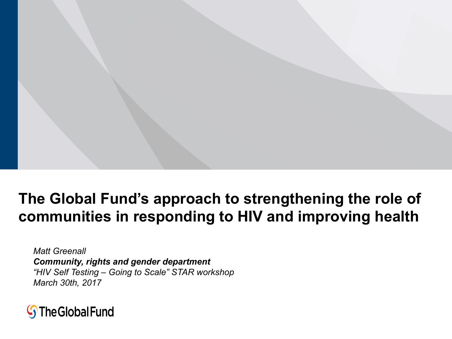### **The Global Fund's approach to strengthening the role of communities in responding to HIV and improving health**

*Matt Greenall Community, rights and gender department "HIV Self Testing – Going to Scale" STAR workshop March 30th, 2017*

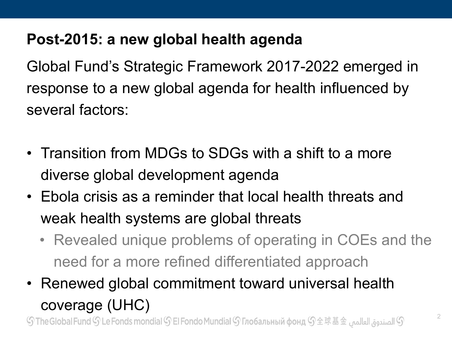### **Post-2015: a new global health agenda**

Global Fund's Strategic Framework 2017-2022 emerged in response to a new global agenda for health influenced by several factors:

- Transition from MDGs to SDGs with a shift to a more diverse global development agenda
- Ebola crisis as a reminder that local health threats and weak health systems are global threats
	- Revealed unique problems of operating in COEs and the need for a more refined differentiated approach
- Renewed global commitment toward universal health coverage (UHC)

 ${\mathbb S}$  الصندوق العالمي  ${\mathbb S}$  The Global Fund  ${\mathbb S}$  Le Fonds mondial  ${\mathbb S}$  El Fondo Mundial  ${\mathbb S}$  Глобальный фонд  ${\mathbb S}$   $\pm$   $\mathbb R$   $\pm$   $\pm$   $\pm$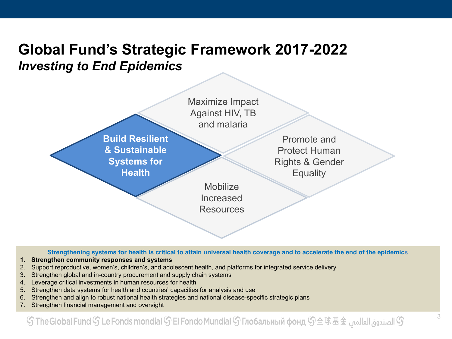### **Global Fund's Strategic Framework 2017-2022**  *Investing to End Epidemics*



**Strengthening systems for health is critical to attain universal health coverage and to accelerate the end of the epidemics**

- **1. Strengthen community responses and systems**
- 2. Support reproductive, women's, children's, and adolescent health, and platforms for integrated service delivery
- 3. Strengthen global and in-country procurement and supply chain systems
- 4. Leverage critical investments in human resources for health
- 5. Strengthen data systems for health and countries' capacities for analysis and use
- 6. Strengthen and align to robust national health strategies and national disease-specific strategic plans
- 7. Strengthen financial management and oversight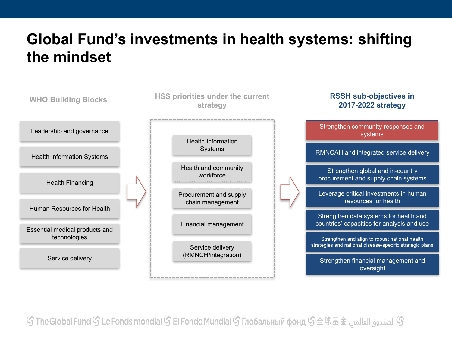### **Global Fund's investments in health systems: shifting the mindset**



 ${\mathbb S}$  الصندوق العالمي  ${\mathbb S}$  The Global Fund  ${\mathbb S}$  Le Fonds mondial  ${\mathbb S}$  El Fondo Mundial  ${\mathbb S}$  Глобальный фонд  ${\mathbb S}$   $\pm$   $\mathbb R$   $\pm$   $\pm$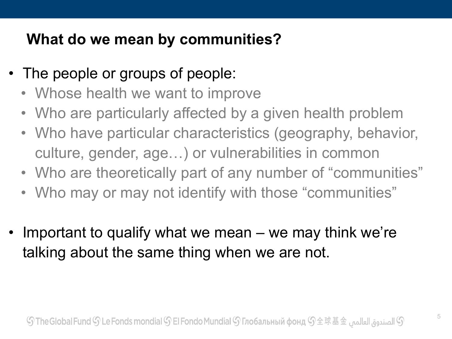### **What do we mean by communities?**

- The people or groups of people:
	- Whose health we want to improve
	- Who are particularly affected by a given health problem
	- Who have particular characteristics (geography, behavior, culture, gender, age…) or vulnerabilities in common
	- Who are theoretically part of any number of "communities"
	- Who may or may not identify with those "communities"
- Important to qualify what we mean we may think we're talking about the same thing when we are not.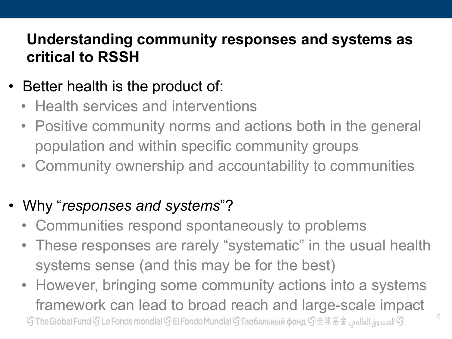### **Understanding community responses and systems as critical to RSSH**

- Better health is the product of:
	- Health services and interventions
	- Positive community norms and actions both in the general population and within specific community groups
	- Community ownership and accountability to communities
- Why "*responses and systems*"?
	- Communities respond spontaneously to problems
	- These responses are rarely "systematic" in the usual health systems sense (and this may be for the best)
	- However, bringing some community actions into a systems framework can lead to broad reach and large-scale impact ① الصندوق العالمي  $\mathbb{G} \not\cong \mathbb{R}$  The Global Fund  $\mathbb{G}$  Le Fonds mondial  $\mathbb{G}$  El Fondo Mundial  $\mathbb{G}$  Глобальный фонд  $\mathbb{G}$   $\pm$   $\mathbb{R}$   $\dot\equiv$   $\pm$   $\pm$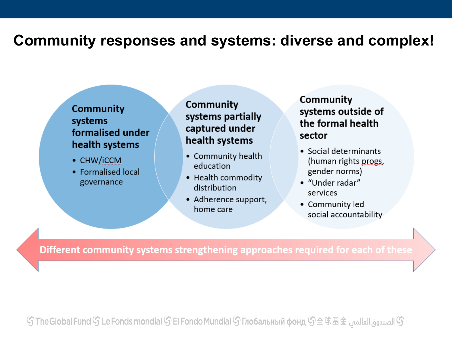### **Community responses and systems: diverse and complex!**

#### **Community** systems formalised under health systems

- CHW/iCCM
- Formalised local governance

### Community systems partially captured under health systems

- Community health education
- Health commodity distribution
- Adherence support, home care

Community systems outside of the formal health sector

- Social determinants (human rights progs, gender norms)
- "Under radar" services
- Community led social accountability

Different community systems strengthening approaches required for each of these

 ${\mathbb S}$  الصندوق العالمي  ${\mathbb S}$  The Global Fund  ${\mathbb S}$  Le Fonds mondial  ${\mathbb S}$  El Fondo Mundial  ${\mathbb S}$  Глобальный фонд  ${\mathbb S}$   $\pm$   $\mathbb R$   $\pm$   $\pm$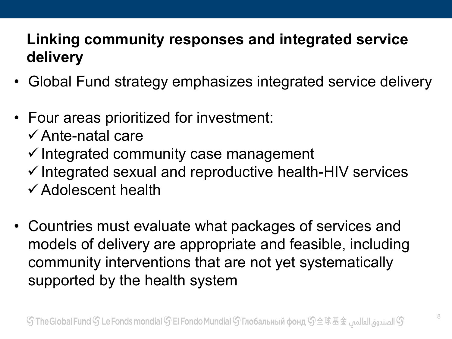# **Linking community responses and integrated service delivery**

- Global Fund strategy emphasizes integrated service delivery
- Four areas prioritized for investment:
	- $\checkmark$  Ante-natal care
	- $\checkmark$  Integrated community case management
	- $\checkmark$  Integrated sexual and reproductive health-HIV services
	- $\checkmark$  Adolescent health
- Countries must evaluate what packages of services and models of delivery are appropriate and feasible, including community interventions that are not yet systematically supported by the health system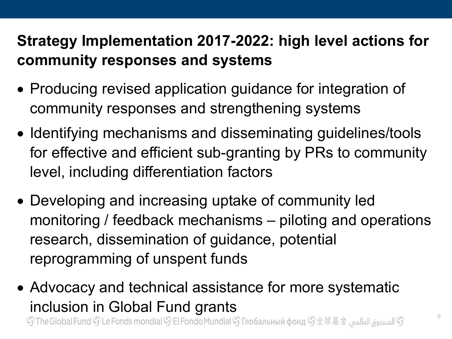# **Strategy Implementation 2017-2022: high level actions for community responses and systems**

- Producing revised application guidance for integration of community responses and strengthening systems
- Identifying mechanisms and disseminating guidelines/tools for effective and efficient sub-granting by PRs to community level, including differentiation factors
- Developing and increasing uptake of community led monitoring / feedback mechanisms – piloting and operations research, dissemination of guidance, potential reprogramming of unspent funds
- Advocacy and technical assistance for more systematic inclusion in Global Fund grants 9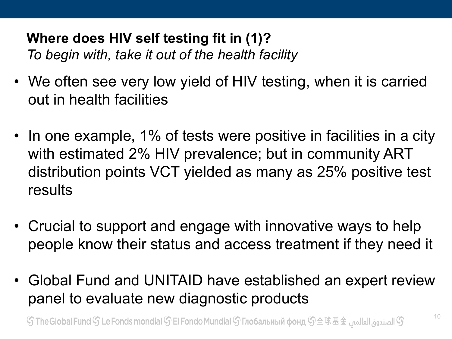### **Where does HIV self testing fit in (1)?** *To begin with, take it out of the health facility*

- We often see very low yield of HIV testing, when it is carried out in health facilities
- In one example, 1% of tests were positive in facilities in a city with estimated 2% HIV prevalence; but in community ART distribution points VCT yielded as many as 25% positive test results
- Crucial to support and engage with innovative ways to help people know their status and access treatment if they need it
- Global Fund and UNITAID have established an expert review panel to evaluate new diagnostic products

 $\mathbb S$  الصندوق العالمي  $\mathbb S$  The Global Fund  $\mathbb S$  Le Fonds mondial  $\mathbb S$  El Fondo Mundial  $\mathbb S$  Глобальный фонд  $\mathbb S$   $\pm$   $\mathbb R$   $\pm$   $\pm$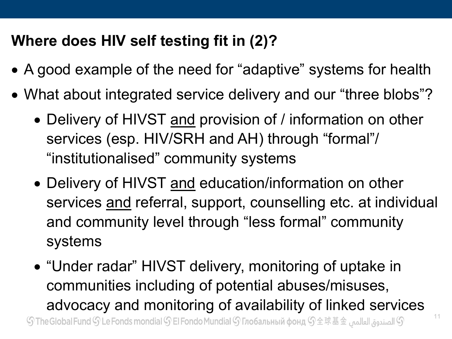# **Where does HIV self testing fit in (2)?**

- A good example of the need for "adaptive" systems for health
- What about integrated service delivery and our "three blobs"?
	- Delivery of HIVST and provision of / information on other services (esp. HIV/SRH and AH) through "formal"/ "institutionalised" community systems
	- Delivery of HIVST and education/information on other services and referral, support, counselling etc. at individual and community level through "less formal" community systems
	- "Under radar" HIVST delivery, monitoring of uptake in communities including of potential abuses/misuses, advocacy and monitoring of availability of linked services ${\mathbb S}$  الصندوق العالمي  ${\mathbb S}$  The Global Fund  ${\mathbb S}$  Le Fonds mondial  ${\mathbb S}$  El Fondo Mundial  ${\mathbb S}$  Глобальный фонд  ${\mathbb S}$   $\pm$   $\mathbb R$   $\pm$   $\pm$   $\pm$